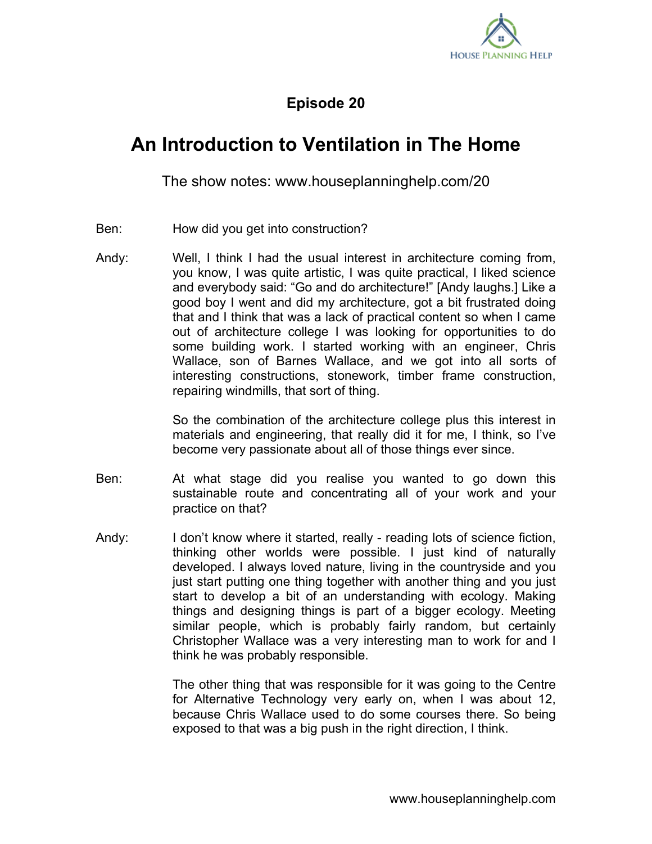

## **Episode 20**

## **An Introduction to Ventilation in The Home**

The show notes: www.houseplanninghelp.com/20

- Ben: How did you get into construction?
- Andy: Well, I think I had the usual interest in architecture coming from, you know, I was quite artistic, I was quite practical, I liked science and everybody said: "Go and do architecture!" [Andy laughs.] Like a good boy I went and did my architecture, got a bit frustrated doing that and I think that was a lack of practical content so when I came out of architecture college I was looking for opportunities to do some building work. I started working with an engineer, Chris Wallace, son of Barnes Wallace, and we got into all sorts of interesting constructions, stonework, timber frame construction, repairing windmills, that sort of thing.

So the combination of the architecture college plus this interest in materials and engineering, that really did it for me, I think, so I've become very passionate about all of those things ever since.

- Ben: At what stage did you realise you wanted to go down this sustainable route and concentrating all of your work and your practice on that?
- Andy: I don't know where it started, really reading lots of science fiction, thinking other worlds were possible. I just kind of naturally developed. I always loved nature, living in the countryside and you just start putting one thing together with another thing and you just start to develop a bit of an understanding with ecology. Making things and designing things is part of a bigger ecology. Meeting similar people, which is probably fairly random, but certainly Christopher Wallace was a very interesting man to work for and I think he was probably responsible.

The other thing that was responsible for it was going to the Centre for Alternative Technology very early on, when I was about 12, because Chris Wallace used to do some courses there. So being exposed to that was a big push in the right direction, I think.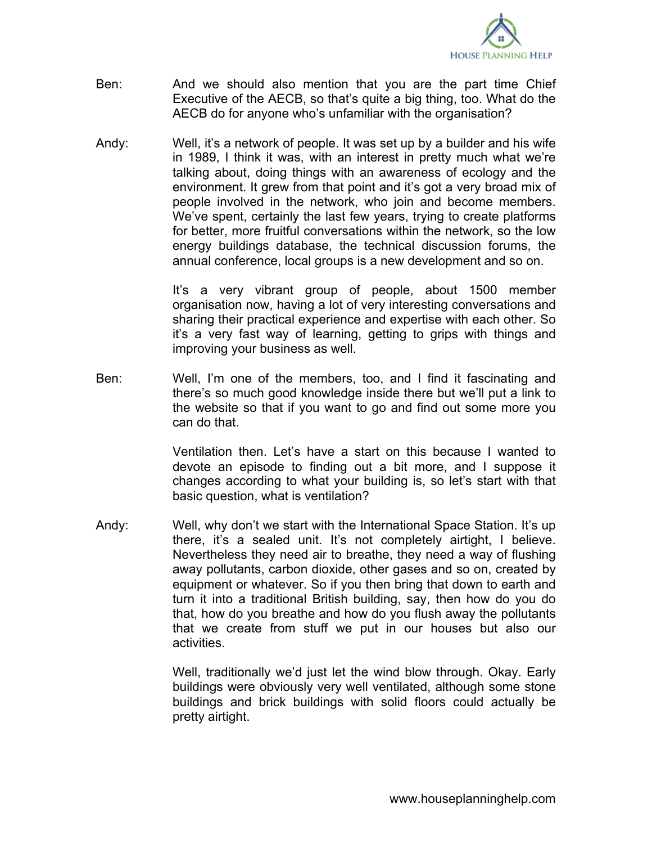

- Ben: And we should also mention that you are the part time Chief Executive of the AECB, so that's quite a big thing, too. What do the AECB do for anyone who's unfamiliar with the organisation?
- Andy: Well, it's a network of people. It was set up by a builder and his wife in 1989, I think it was, with an interest in pretty much what we're talking about, doing things with an awareness of ecology and the environment. It grew from that point and it's got a very broad mix of people involved in the network, who join and become members. We've spent, certainly the last few years, trying to create platforms for better, more fruitful conversations within the network, so the low energy buildings database, the technical discussion forums, the annual conference, local groups is a new development and so on.

It's a very vibrant group of people, about 1500 member organisation now, having a lot of very interesting conversations and sharing their practical experience and expertise with each other. So it's a very fast way of learning, getting to grips with things and improving your business as well.

Ben: Well, I'm one of the members, too, and I find it fascinating and there's so much good knowledge inside there but we'll put a link to the website so that if you want to go and find out some more you can do that.

> Ventilation then. Let's have a start on this because I wanted to devote an episode to finding out a bit more, and I suppose it changes according to what your building is, so let's start with that basic question, what is ventilation?

Andy: Well, why don't we start with the International Space Station. It's up there, it's a sealed unit. It's not completely airtight, I believe. Nevertheless they need air to breathe, they need a way of flushing away pollutants, carbon dioxide, other gases and so on, created by equipment or whatever. So if you then bring that down to earth and turn it into a traditional British building, say, then how do you do that, how do you breathe and how do you flush away the pollutants that we create from stuff we put in our houses but also our activities.

> Well, traditionally we'd just let the wind blow through. Okay. Early buildings were obviously very well ventilated, although some stone buildings and brick buildings with solid floors could actually be pretty airtight.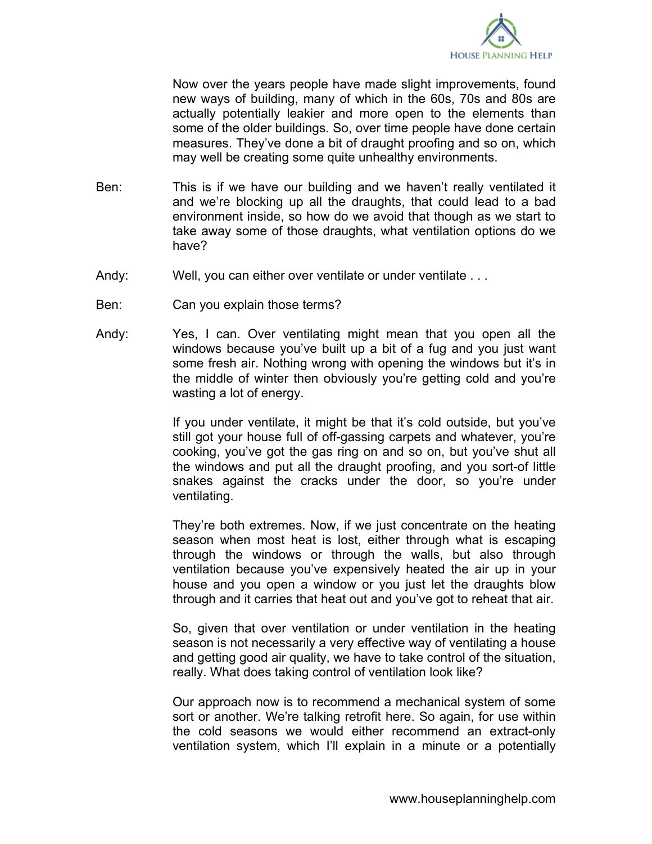

Now over the years people have made slight improvements, found new ways of building, many of which in the 60s, 70s and 80s are actually potentially leakier and more open to the elements than some of the older buildings. So, over time people have done certain measures. They've done a bit of draught proofing and so on, which may well be creating some quite unhealthy environments.

- Ben: This is if we have our building and we haven't really ventilated it and we're blocking up all the draughts, that could lead to a bad environment inside, so how do we avoid that though as we start to take away some of those draughts, what ventilation options do we have?
- Andy: Well, you can either over ventilate or under ventilate ...
- Ben: Can you explain those terms?
- Andy: Yes, I can. Over ventilating might mean that you open all the windows because you've built up a bit of a fug and you just want some fresh air. Nothing wrong with opening the windows but it's in the middle of winter then obviously you're getting cold and you're wasting a lot of energy.

If you under ventilate, it might be that it's cold outside, but you've still got your house full of off-gassing carpets and whatever, you're cooking, you've got the gas ring on and so on, but you've shut all the windows and put all the draught proofing, and you sort-of little snakes against the cracks under the door, so you're under ventilating.

They're both extremes. Now, if we just concentrate on the heating season when most heat is lost, either through what is escaping through the windows or through the walls, but also through ventilation because you've expensively heated the air up in your house and you open a window or you just let the draughts blow through and it carries that heat out and you've got to reheat that air.

So, given that over ventilation or under ventilation in the heating season is not necessarily a very effective way of ventilating a house and getting good air quality, we have to take control of the situation, really. What does taking control of ventilation look like?

Our approach now is to recommend a mechanical system of some sort or another. We're talking retrofit here. So again, for use within the cold seasons we would either recommend an extract-only ventilation system, which I'll explain in a minute or a potentially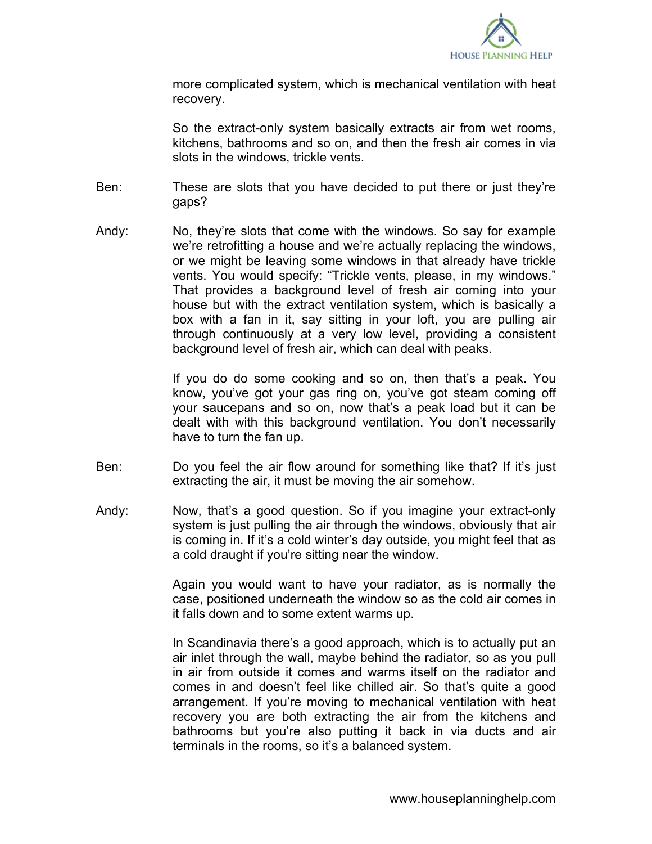

more complicated system, which is mechanical ventilation with heat recovery.

So the extract-only system basically extracts air from wet rooms, kitchens, bathrooms and so on, and then the fresh air comes in via slots in the windows, trickle vents.

- Ben: These are slots that you have decided to put there or just they're gaps?
- Andy: No, they're slots that come with the windows. So say for example we're retrofitting a house and we're actually replacing the windows, or we might be leaving some windows in that already have trickle vents. You would specify: "Trickle vents, please, in my windows." That provides a background level of fresh air coming into your house but with the extract ventilation system, which is basically a box with a fan in it, say sitting in your loft, you are pulling air through continuously at a very low level, providing a consistent background level of fresh air, which can deal with peaks.

If you do do some cooking and so on, then that's a peak. You know, you've got your gas ring on, you've got steam coming off your saucepans and so on, now that's a peak load but it can be dealt with with this background ventilation. You don't necessarily have to turn the fan up.

- Ben: Do you feel the air flow around for something like that? If it's just extracting the air, it must be moving the air somehow.
- Andy: Now, that's a good question. So if you imagine your extract-only system is just pulling the air through the windows, obviously that air is coming in. If it's a cold winter's day outside, you might feel that as a cold draught if you're sitting near the window.

Again you would want to have your radiator, as is normally the case, positioned underneath the window so as the cold air comes in it falls down and to some extent warms up.

In Scandinavia there's a good approach, which is to actually put an air inlet through the wall, maybe behind the radiator, so as you pull in air from outside it comes and warms itself on the radiator and comes in and doesn't feel like chilled air. So that's quite a good arrangement. If you're moving to mechanical ventilation with heat recovery you are both extracting the air from the kitchens and bathrooms but you're also putting it back in via ducts and air terminals in the rooms, so it's a balanced system.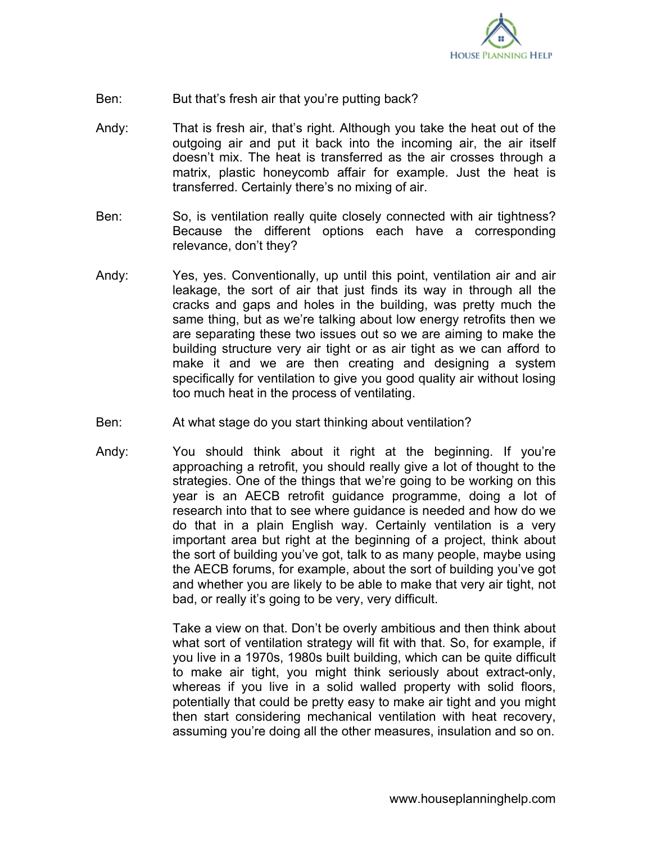

- Ben: But that's fresh air that you're putting back?
- Andy: That is fresh air, that's right. Although you take the heat out of the outgoing air and put it back into the incoming air, the air itself doesn't mix. The heat is transferred as the air crosses through a matrix, plastic honeycomb affair for example. Just the heat is transferred. Certainly there's no mixing of air.
- Ben: So, is ventilation really quite closely connected with air tightness? Because the different options each have a corresponding relevance, don't they?
- Andy: Yes, yes. Conventionally, up until this point, ventilation air and air leakage, the sort of air that just finds its way in through all the cracks and gaps and holes in the building, was pretty much the same thing, but as we're talking about low energy retrofits then we are separating these two issues out so we are aiming to make the building structure very air tight or as air tight as we can afford to make it and we are then creating and designing a system specifically for ventilation to give you good quality air without losing too much heat in the process of ventilating.
- Ben: At what stage do you start thinking about ventilation?
- Andy: You should think about it right at the beginning. If you're approaching a retrofit, you should really give a lot of thought to the strategies. One of the things that we're going to be working on this year is an AECB retrofit guidance programme, doing a lot of research into that to see where guidance is needed and how do we do that in a plain English way. Certainly ventilation is a very important area but right at the beginning of a project, think about the sort of building you've got, talk to as many people, maybe using the AECB forums, for example, about the sort of building you've got and whether you are likely to be able to make that very air tight, not bad, or really it's going to be very, very difficult.

Take a view on that. Don't be overly ambitious and then think about what sort of ventilation strategy will fit with that. So, for example, if you live in a 1970s, 1980s built building, which can be quite difficult to make air tight, you might think seriously about extract-only, whereas if you live in a solid walled property with solid floors, potentially that could be pretty easy to make air tight and you might then start considering mechanical ventilation with heat recovery, assuming you're doing all the other measures, insulation and so on.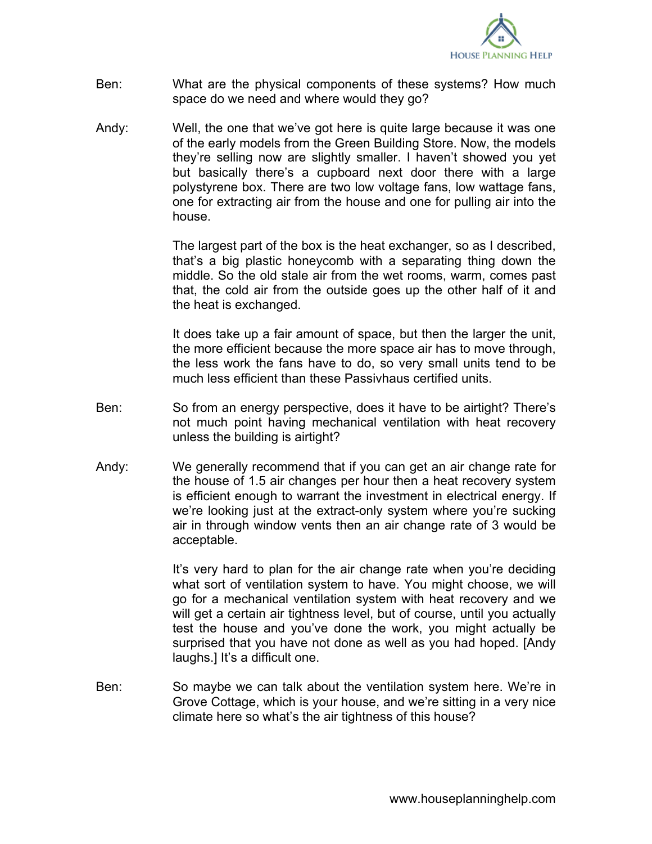

- Ben: What are the physical components of these systems? How much space do we need and where would they go?
- Andy: Well, the one that we've got here is quite large because it was one of the early models from the Green Building Store. Now, the models they're selling now are slightly smaller. I haven't showed you yet but basically there's a cupboard next door there with a large polystyrene box. There are two low voltage fans, low wattage fans, one for extracting air from the house and one for pulling air into the house.

The largest part of the box is the heat exchanger, so as I described, that's a big plastic honeycomb with a separating thing down the middle. So the old stale air from the wet rooms, warm, comes past that, the cold air from the outside goes up the other half of it and the heat is exchanged.

It does take up a fair amount of space, but then the larger the unit, the more efficient because the more space air has to move through, the less work the fans have to do, so very small units tend to be much less efficient than these Passivhaus certified units.

- Ben: So from an energy perspective, does it have to be airtight? There's not much point having mechanical ventilation with heat recovery unless the building is airtight?
- Andy: We generally recommend that if you can get an air change rate for the house of 1.5 air changes per hour then a heat recovery system is efficient enough to warrant the investment in electrical energy. If we're looking just at the extract-only system where you're sucking air in through window vents then an air change rate of 3 would be acceptable.

It's very hard to plan for the air change rate when you're deciding what sort of ventilation system to have. You might choose, we will go for a mechanical ventilation system with heat recovery and we will get a certain air tightness level, but of course, until you actually test the house and you've done the work, you might actually be surprised that you have not done as well as you had hoped. [Andy laughs.] It's a difficult one.

Ben: So maybe we can talk about the ventilation system here. We're in Grove Cottage, which is your house, and we're sitting in a very nice climate here so what's the air tightness of this house?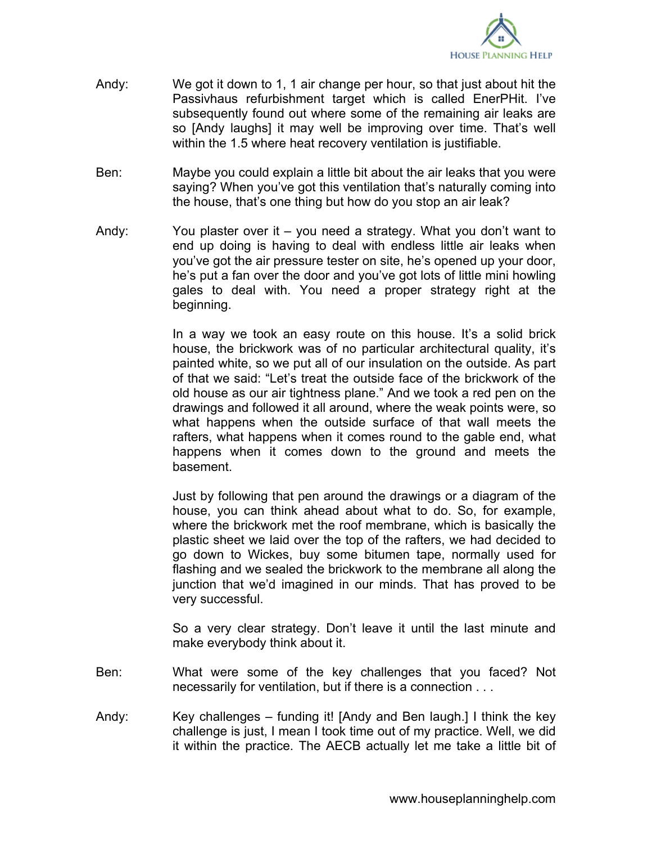

- Andy: We got it down to 1, 1 air change per hour, so that just about hit the Passivhaus refurbishment target which is called EnerPHit. I've subsequently found out where some of the remaining air leaks are so [Andy laughs] it may well be improving over time. That's well within the 1.5 where heat recovery ventilation is justifiable.
- Ben: Maybe you could explain a little bit about the air leaks that you were saying? When you've got this ventilation that's naturally coming into the house, that's one thing but how do you stop an air leak?
- Andy: You plaster over it you need a strategy. What you don't want to end up doing is having to deal with endless little air leaks when you've got the air pressure tester on site, he's opened up your door, he's put a fan over the door and you've got lots of little mini howling gales to deal with. You need a proper strategy right at the beginning.

In a way we took an easy route on this house. It's a solid brick house, the brickwork was of no particular architectural quality, it's painted white, so we put all of our insulation on the outside. As part of that we said: "Let's treat the outside face of the brickwork of the old house as our air tightness plane." And we took a red pen on the drawings and followed it all around, where the weak points were, so what happens when the outside surface of that wall meets the rafters, what happens when it comes round to the gable end, what happens when it comes down to the ground and meets the basement.

Just by following that pen around the drawings or a diagram of the house, you can think ahead about what to do. So, for example, where the brickwork met the roof membrane, which is basically the plastic sheet we laid over the top of the rafters, we had decided to go down to Wickes, buy some bitumen tape, normally used for flashing and we sealed the brickwork to the membrane all along the junction that we'd imagined in our minds. That has proved to be very successful.

So a very clear strategy. Don't leave it until the last minute and make everybody think about it.

- Ben: What were some of the key challenges that you faced? Not necessarily for ventilation, but if there is a connection . . .
- Andy: Key challenges funding it! [Andy and Ben laugh.] I think the key challenge is just, I mean I took time out of my practice. Well, we did it within the practice. The AECB actually let me take a little bit of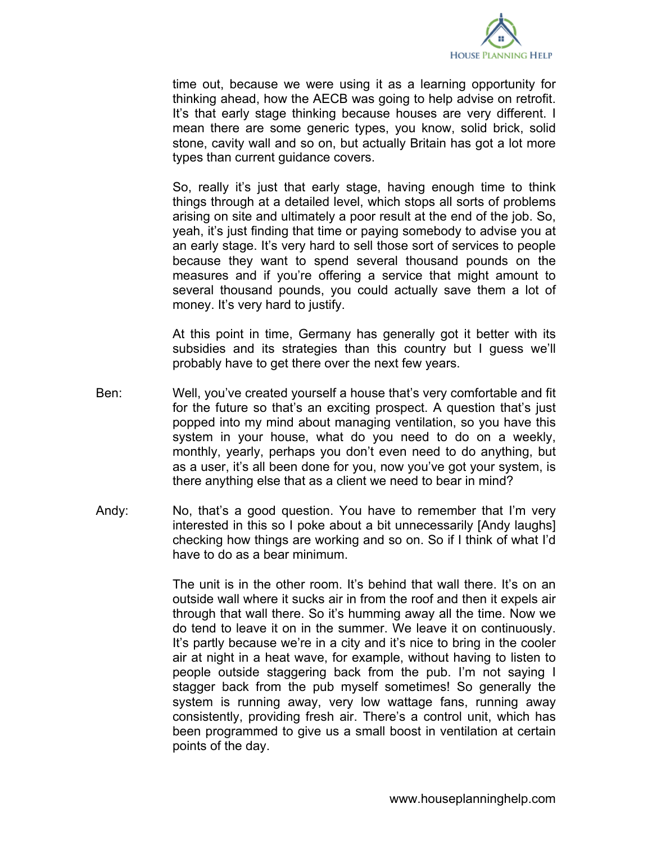

time out, because we were using it as a learning opportunity for thinking ahead, how the AECB was going to help advise on retrofit. It's that early stage thinking because houses are very different. I mean there are some generic types, you know, solid brick, solid stone, cavity wall and so on, but actually Britain has got a lot more types than current guidance covers.

So, really it's just that early stage, having enough time to think things through at a detailed level, which stops all sorts of problems arising on site and ultimately a poor result at the end of the job. So, yeah, it's just finding that time or paying somebody to advise you at an early stage. It's very hard to sell those sort of services to people because they want to spend several thousand pounds on the measures and if you're offering a service that might amount to several thousand pounds, you could actually save them a lot of money. It's very hard to justify.

At this point in time, Germany has generally got it better with its subsidies and its strategies than this country but I guess we'll probably have to get there over the next few years.

- Ben: Well, you've created yourself a house that's very comfortable and fit for the future so that's an exciting prospect. A question that's just popped into my mind about managing ventilation, so you have this system in your house, what do you need to do on a weekly, monthly, yearly, perhaps you don't even need to do anything, but as a user, it's all been done for you, now you've got your system, is there anything else that as a client we need to bear in mind?
- Andy: No, that's a good question. You have to remember that I'm very interested in this so I poke about a bit unnecessarily [Andy laughs] checking how things are working and so on. So if I think of what I'd have to do as a bear minimum.

The unit is in the other room. It's behind that wall there. It's on an outside wall where it sucks air in from the roof and then it expels air through that wall there. So it's humming away all the time. Now we do tend to leave it on in the summer. We leave it on continuously. It's partly because we're in a city and it's nice to bring in the cooler air at night in a heat wave, for example, without having to listen to people outside staggering back from the pub. I'm not saying I stagger back from the pub myself sometimes! So generally the system is running away, very low wattage fans, running away consistently, providing fresh air. There's a control unit, which has been programmed to give us a small boost in ventilation at certain points of the day.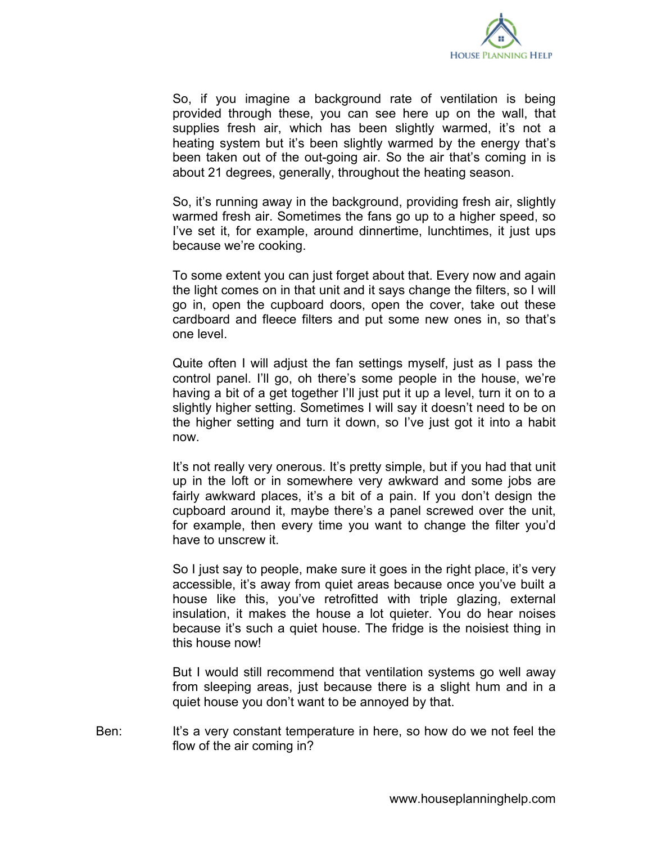

So, if you imagine a background rate of ventilation is being provided through these, you can see here up on the wall, that supplies fresh air, which has been slightly warmed, it's not a heating system but it's been slightly warmed by the energy that's been taken out of the out-going air. So the air that's coming in is about 21 degrees, generally, throughout the heating season.

So, it's running away in the background, providing fresh air, slightly warmed fresh air. Sometimes the fans go up to a higher speed, so I've set it, for example, around dinnertime, lunchtimes, it just ups because we're cooking.

To some extent you can just forget about that. Every now and again the light comes on in that unit and it says change the filters, so I will go in, open the cupboard doors, open the cover, take out these cardboard and fleece filters and put some new ones in, so that's one level.

Quite often I will adjust the fan settings myself, just as I pass the control panel. I'll go, oh there's some people in the house, we're having a bit of a get together I'll just put it up a level, turn it on to a slightly higher setting. Sometimes I will say it doesn't need to be on the higher setting and turn it down, so I've just got it into a habit now.

It's not really very onerous. It's pretty simple, but if you had that unit up in the loft or in somewhere very awkward and some jobs are fairly awkward places, it's a bit of a pain. If you don't design the cupboard around it, maybe there's a panel screwed over the unit, for example, then every time you want to change the filter you'd have to unscrew it.

So I just say to people, make sure it goes in the right place, it's very accessible, it's away from quiet areas because once you've built a house like this, you've retrofitted with triple glazing, external insulation, it makes the house a lot quieter. You do hear noises because it's such a quiet house. The fridge is the noisiest thing in this house now!

But I would still recommend that ventilation systems go well away from sleeping areas, just because there is a slight hum and in a quiet house you don't want to be annoyed by that.

Ben: It's a very constant temperature in here, so how do we not feel the flow of the air coming in?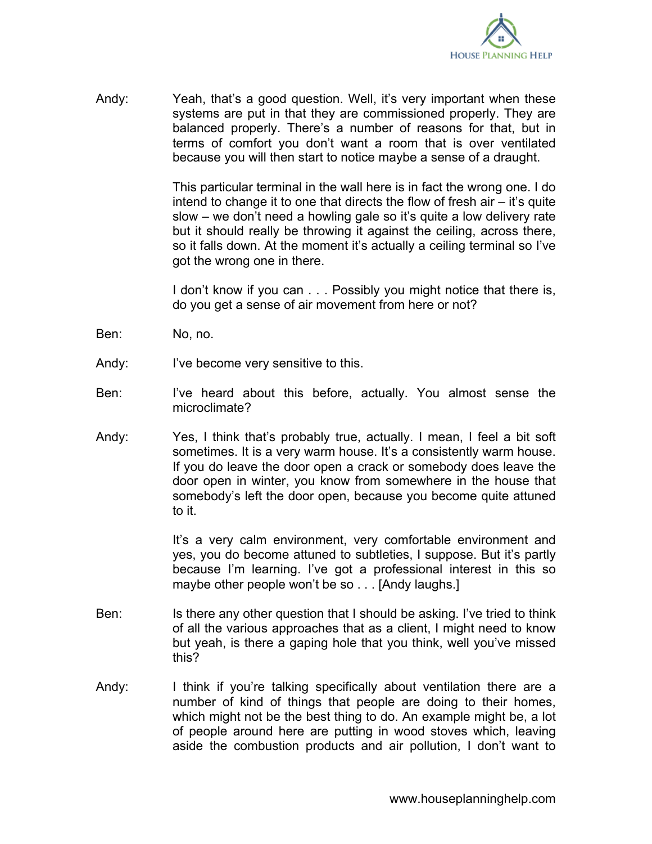

Andy: Yeah, that's a good question. Well, it's very important when these systems are put in that they are commissioned properly. They are balanced properly. There's a number of reasons for that, but in terms of comfort you don't want a room that is over ventilated because you will then start to notice maybe a sense of a draught.

> This particular terminal in the wall here is in fact the wrong one. I do intend to change it to one that directs the flow of fresh air – it's quite slow – we don't need a howling gale so it's quite a low delivery rate but it should really be throwing it against the ceiling, across there, so it falls down. At the moment it's actually a ceiling terminal so I've got the wrong one in there.

> I don't know if you can . . . Possibly you might notice that there is, do you get a sense of air movement from here or not?

- Ben: No, no.
- Andy: I've become very sensitive to this.
- Ben: I've heard about this before, actually. You almost sense the microclimate?
- Andy: Yes, I think that's probably true, actually. I mean, I feel a bit soft sometimes. It is a very warm house. It's a consistently warm house. If you do leave the door open a crack or somebody does leave the door open in winter, you know from somewhere in the house that somebody's left the door open, because you become quite attuned to it.

It's a very calm environment, very comfortable environment and yes, you do become attuned to subtleties, I suppose. But it's partly because I'm learning. I've got a professional interest in this so maybe other people won't be so . . . [Andy laughs.]

- Ben: Is there any other question that I should be asking. I've tried to think of all the various approaches that as a client, I might need to know but yeah, is there a gaping hole that you think, well you've missed this?
- Andy: I think if you're talking specifically about ventilation there are a number of kind of things that people are doing to their homes, which might not be the best thing to do. An example might be, a lot of people around here are putting in wood stoves which, leaving aside the combustion products and air pollution, I don't want to